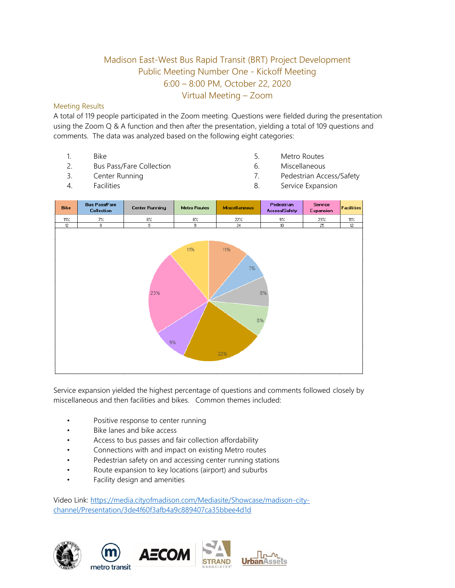## Madison East-West Bus Rapid Transit (BRT) Project Development Public Meeting Number One - Kickoff Meeting 6:00 – 8:00 PM, October 22, 2020 Virtual Meeting – Zoom

## Meeting Results

A total of 119 people participated in the Zoom meeting. Questions were fielded during the presentation using the Zoom Q & A function and then after the presentation, yielding a total of 109 questions and comments. The data was analyzed based on the following eight categories:

- 1. Bike
- 2. Bus Pass/Fare Collection
- 3. Center Running
- 5. Metro Routes
- 6. Miscellaneous
- 7. Pedestrian Access/Safety

4. Facilities

8. Service Expansion



Service expansion yielded the highest percentage of questions and comments followed closely by miscellaneous and then facilities and bikes. Common themes included:

- Positive response to center running
- Bike lanes and bike access
- Access to bus passes and fair collection affordability
- Connections with and impact on existing Metro routes
- Pedestrian safety on and accessing center running stations
- Route expansion to key locations (airport) and suburbs
- Facility design and amenities

Video Link[: https://media.cityofmadison.com/Mediasite/Showcase/madison-city](https://media.cityofmadison.com/Mediasite/Showcase/madison-city-channel/Presentation/3de4f60f3afb4a9c889407ca35bbee4d1d)[channel/Presentation/3de4f60f3afb4a9c889407ca35bbee4d1d](https://media.cityofmadison.com/Mediasite/Showcase/madison-city-channel/Presentation/3de4f60f3afb4a9c889407ca35bbee4d1d)







 $\prod_{n=1}^{\infty}$ **Urban**Assets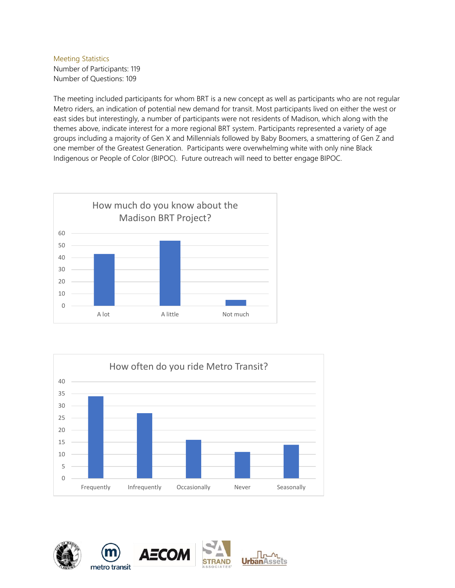## Meeting Statistics Number of Participants: 119 Number of Questions: 109

The meeting included participants for whom BRT is a new concept as well as participants who are not regular Metro riders, an indication of potential new demand for transit. Most participants lived on either the west or east sides but interestingly, a number of participants were not residents of Madison, which along with the themes above, indicate interest for a more regional BRT system. Participants represented a variety of age groups including a majority of Gen X and Millennials followed by Baby Boomers, a smattering of Gen Z and one member of the Greatest Generation. Participants were overwhelming white with only nine Black Indigenous or People of Color (BIPOC). Future outreach will need to better engage BIPOC.